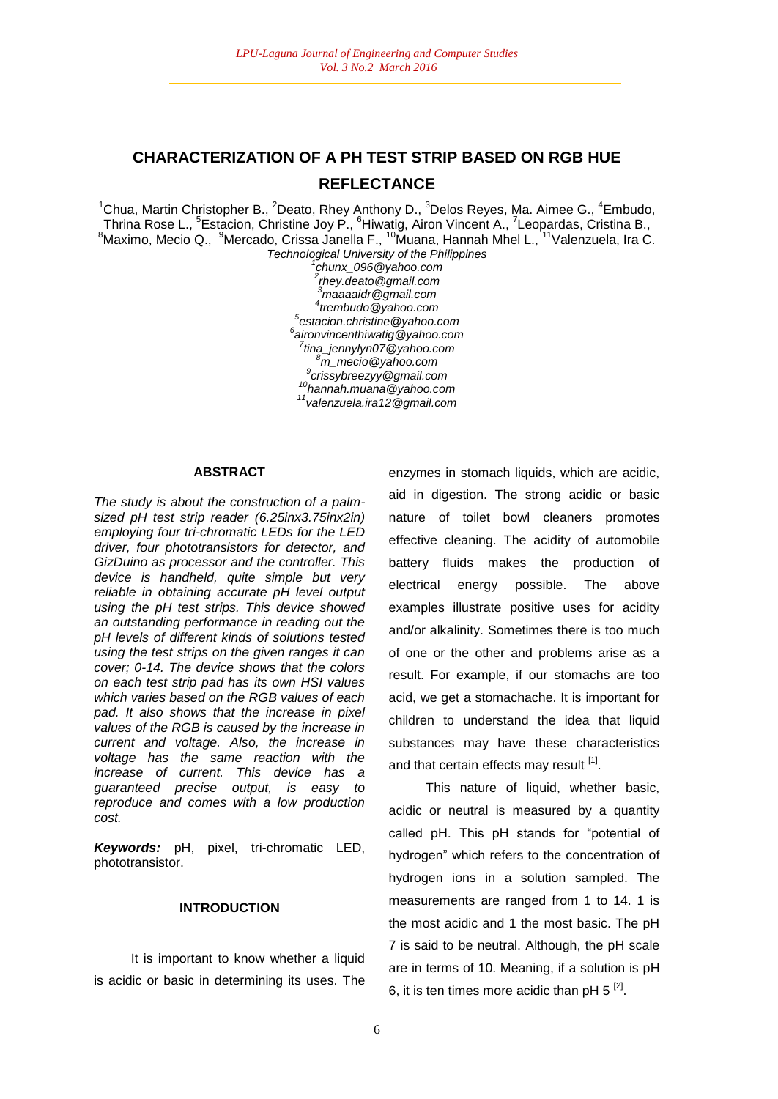# **CHARACTERIZATION OF A PH TEST STRIP BASED ON RGB HUE REFLECTANCE**

<sup>1</sup>Chua, Martin Christopher B., <sup>2</sup>Deato, Rhey Anthony D., <sup>3</sup>Delos Reyes, Ma. Aimee G., <sup>4</sup>Embudo, Thrina Rose L., <sup>5</sup>Estacion, Christine Joy P., <sup>6</sup>Hiwatig, Airon Vincent A., <sup>7</sup>Leopardas, Cristina B.,  $^8$ Maximo, Mecio Q.,  $^9$ Mercado, Crissa Janella F., <sup>10</sup>Muana, Hannah Mhel L., <sup>11</sup>Valenzuela, Ira C.

*Technological University of the Philippines 1 chunx\_096@yahoo.com rhey.deato@gmail.com maaaaidr@gmail.com trembudo@yahoo.com estacion.christine@yahoo.com aironvincenthiwatig@yahoo.com tina\_jennylyn07@yahoo.com m\_mecio@yahoo.com crissybreezyy@gmail.com hannah.muana@yahoo.com valenzuela.ira12@gmail.com*

#### **ABSTRACT**

*The study is about the construction of a palmsized pH test strip reader (6.25inx3.75inx2in) employing four tri-chromatic LEDs for the LED driver, four phototransistors for detector, and GizDuino as processor and the controller. This device is handheld, quite simple but very reliable in obtaining accurate pH level output using the pH test strips. This device showed an outstanding performance in reading out the pH levels of different kinds of solutions tested using the test strips on the given ranges it can cover; 0-14. The device shows that the colors on each test strip pad has its own HSI values which varies based on the RGB values of each pad. It also shows that the increase in pixel values of the RGB is caused by the increase in current and voltage. Also, the increase in voltage has the same reaction with the increase of current. This device has a guaranteed precise output, is easy to reproduce and comes with a low production cost.*

*Keywords:* pH, pixel, tri-chromatic LED, phototransistor.

# **INTRODUCTION**

It is important to know whether a liquid is acidic or basic in determining its uses. The

enzymes in stomach liquids, which are acidic, aid in digestion. The strong acidic or basic nature of toilet bowl cleaners promotes effective cleaning. The acidity of automobile battery fluids makes the production of electrical energy possible. The above examples illustrate positive uses for acidity and/or alkalinity. Sometimes there is too much of one or the other and problems arise as a result. For example, if our stomachs are too acid, we get a stomachache. It is important for children to understand the idea that liquid substances may have these characteristics and that certain effects may result [1].

This nature of liquid, whether basic, acidic or neutral is measured by a quantity called pH. This pH stands for "potential of hydrogen" which refers to the concentration of hydrogen ions in a solution sampled. The measurements are ranged from 1 to 14. 1 is the most acidic and 1 the most basic. The pH 7 is said to be neutral. Although, the pH scale are in terms of 10. Meaning, if a solution is pH 6, it is ten times more acidic than pH 5  $^{[2]}$ .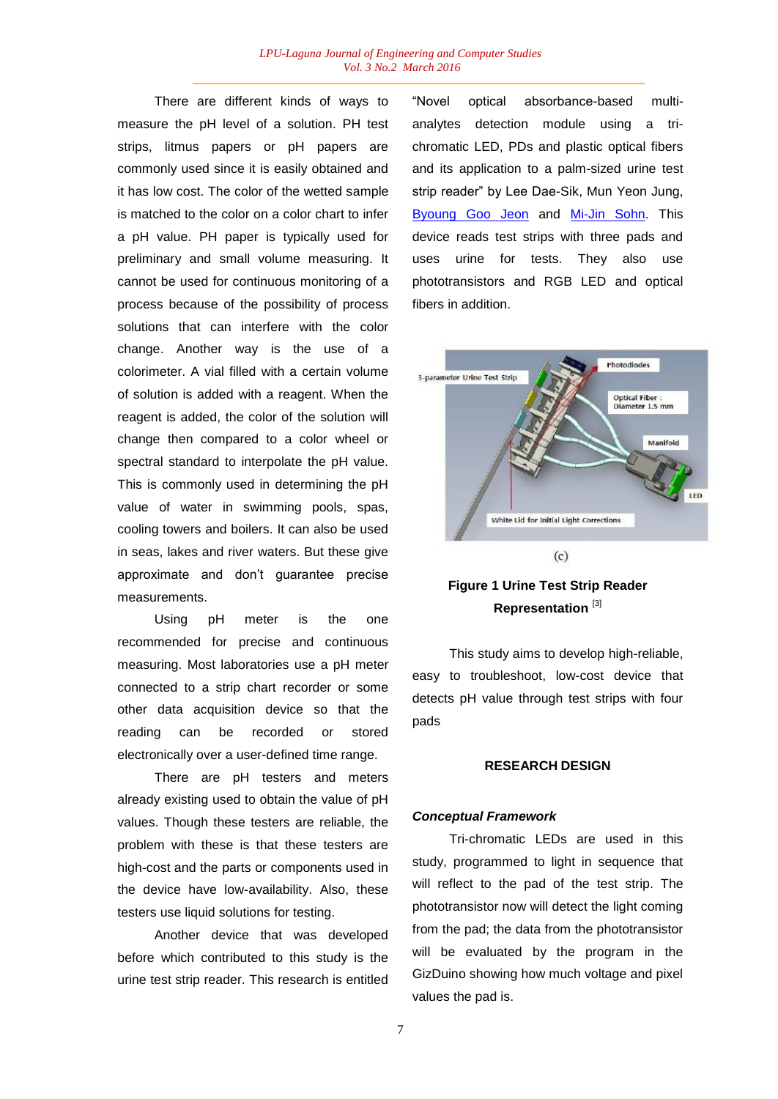There are different kinds of ways to measure the pH level of a solution. PH test strips, litmus papers or pH papers are commonly used since it is easily obtained and it has low cost. The color of the wetted sample is matched to the color on a color chart to infer a pH value. PH paper is typically used for preliminary and small volume measuring. It cannot be used for continuous monitoring of a process because of the possibility of process solutions that can interfere with the color change. Another way is the use of a colorimeter. A vial filled with a certain volume of solution is added with a reagent. When the reagent is added, the color of the solution will change then compared to a color wheel or spectral standard to interpolate the pH value. This is commonly used in determining the pH value of water in swimming pools, spas, cooling towers and boilers. It can also be used in seas, lakes and river waters. But these give approximate and don't guarantee precise measurements.

Using pH meter is the one recommended for precise and continuous measuring. Most laboratories use a pH meter connected to a strip chart recorder or some other data acquisition device so that the reading can be recorded or stored electronically over a user-defined time range.

There are pH testers and meters already existing used to obtain the value of pH values. Though these testers are reliable, the problem with these is that these testers are high-cost and the parts or components used in the device have low-availability. Also, these testers use liquid solutions for testing.

Another device that was developed before which contributed to this study is the urine test strip reader. This research is entitled "Novel optical absorbance-based multianalytes detection module using a trichromatic LED, PDs and plastic optical fibers and its application to a palm-sized urine test strip reader" by Lee Dae-Sik, Mun Yeon Jung, Byoung Goo Jeon and Mi-Jin Sohn. This device reads test strips with three pads and uses urine for tests. They also use phototransistors and RGB LED and optical fibers in addition.



# **Figure 1 Urine Test Strip Reader Representation** [3]

This study aims to develop high-reliable, easy to troubleshoot, low-cost device that detects pH value through test strips with four pads

#### **RESEARCH DESIGN**

#### *Conceptual Framework*

Tri-chromatic LEDs are used in this study, programmed to light in sequence that will reflect to the pad of the test strip. The phototransistor now will detect the light coming from the pad; the data from the phototransistor will be evaluated by the program in the GizDuino showing how much voltage and pixel values the pad is.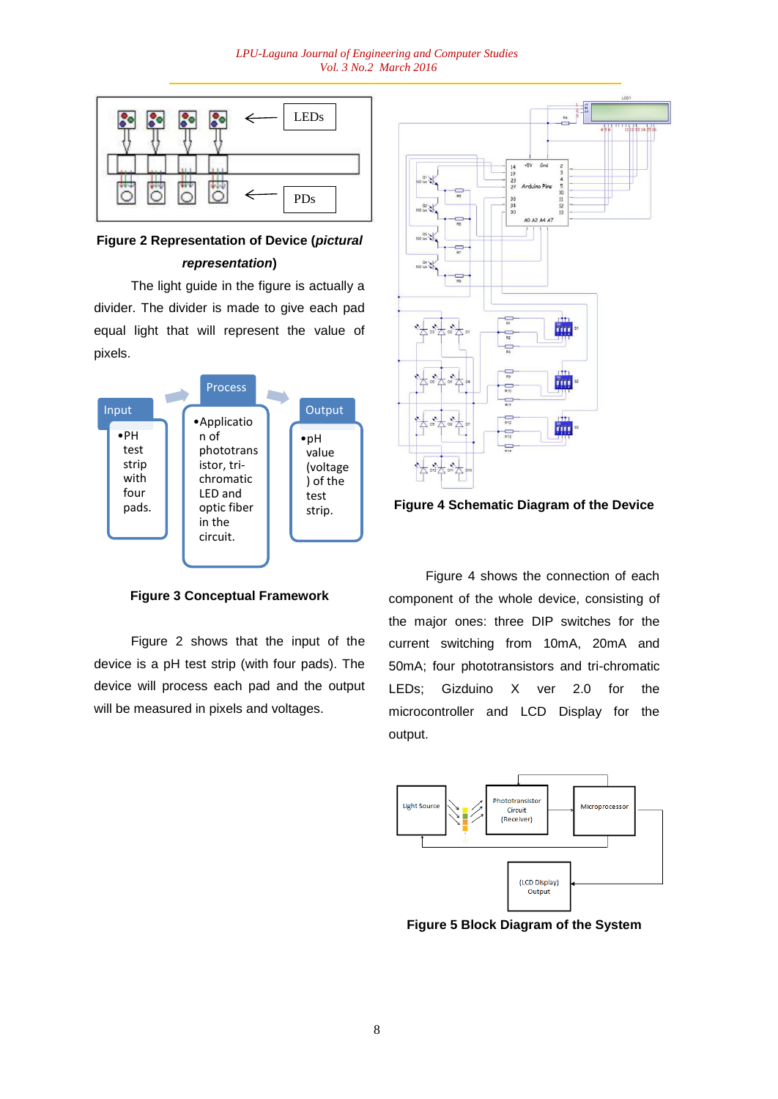#### *LPU-Laguna Journal of Engineering and Computer Studies Vol. 3 No.2 March 2016*



# **Figure 2 Representation of Device (***pictural representation***)**

The light guide in the figure is actually a divider. The divider is made to give each pad equal light that will represent the value of pixels.



**Figure 3 Conceptual Framework**

Figure 2 shows that the input of the device is a pH test strip (with four pads). The device will process each pad and the output will be measured in pixels and voltages.





Figure 4 shows the connection of each component of the whole device, consisting of the major ones: three DIP switches for the current switching from 10mA, 20mA and 50mA; four phototransistors and tri-chromatic LEDs; Gizduino X ver 2.0 for the microcontroller and LCD Display for the output.



**Figure 5 Block Diagram of the System**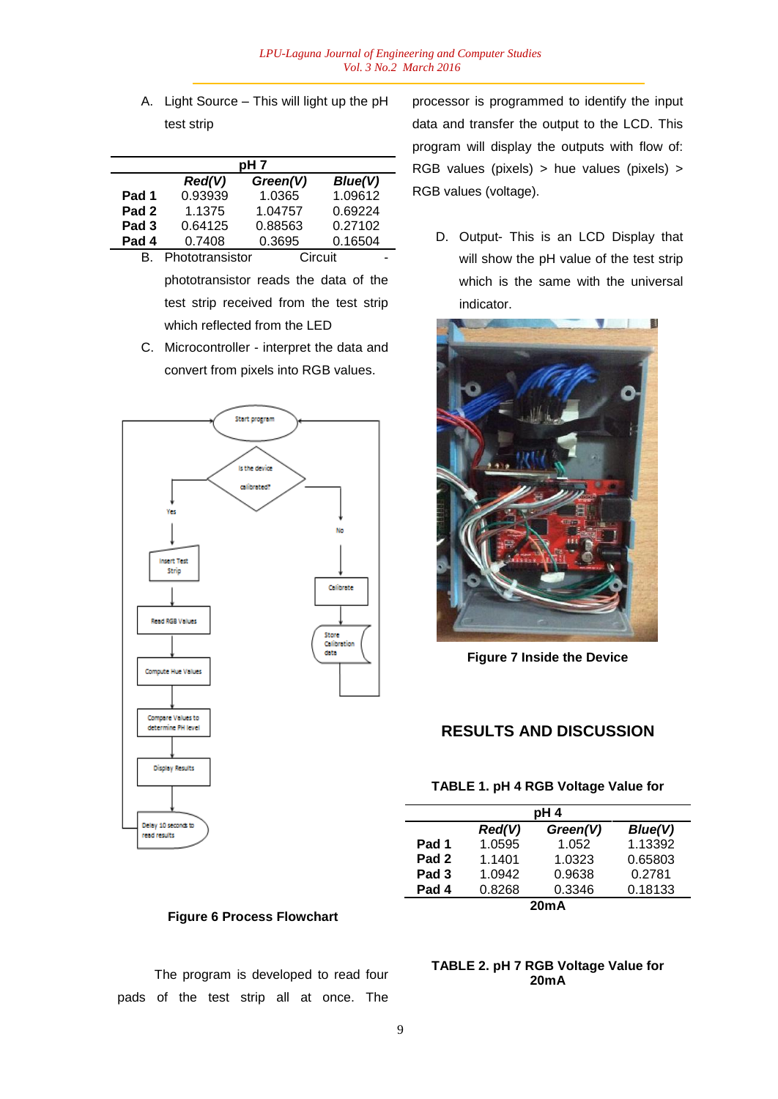A. Light Source – This will light up the pH test strip

|                  |                 | pH <sub>7</sub> |         |
|------------------|-----------------|-----------------|---------|
|                  | Red(V)          | Green(V)        | Blue(V) |
| Pad 1            | 0.93939         | 1.0365          | 1.09612 |
| Pad <sub>2</sub> | 1.1375          | 1.04757         | 0.69224 |
| Pad <sub>3</sub> | 0.64125         | 0.88563         | 0.27102 |
| Pad 4            | 0.7408          | 0.3695          | 0.16504 |
|                  | Phototransistor |                 | Circuit |

phototransistor reads the data of the test strip received from the test strip which reflected from the LED

C. Microcontroller - interpret the data and convert from pixels into RGB values.



processor is programmed to identify the input data and transfer the output to the LCD. This program will display the outputs with flow of: RGB values (pixels) > hue values (pixels) > RGB values (voltage).

D. Output- This is an LCD Display that will show the pH value of the test strip which is the same with the universal indicator.



**Figure 7 Inside the Device**

# **RESULTS AND DISCUSSION**

#### **TABLE 1. pH 4 RGB Voltage Value for**

| pH 4             |        |          |         |  |  |
|------------------|--------|----------|---------|--|--|
|                  | Red(V) | Green(V) | Blue(V) |  |  |
| Pad 1            | 1.0595 | 1.052    | 1.13392 |  |  |
| Pad <sub>2</sub> | 1.1401 | 1.0323   | 0.65803 |  |  |
| Pad <sub>3</sub> | 1.0942 | 0.9638   | 0.2781  |  |  |
| Pad 4            | 0.8268 | 0.3346   | 0.18133 |  |  |
| 20mA             |        |          |         |  |  |

# **Figure 6 Process Flowchart**

The program is developed to read four pads of the test strip all at once. The

# **TABLE 2. pH 7 RGB Voltage Value for 20mA**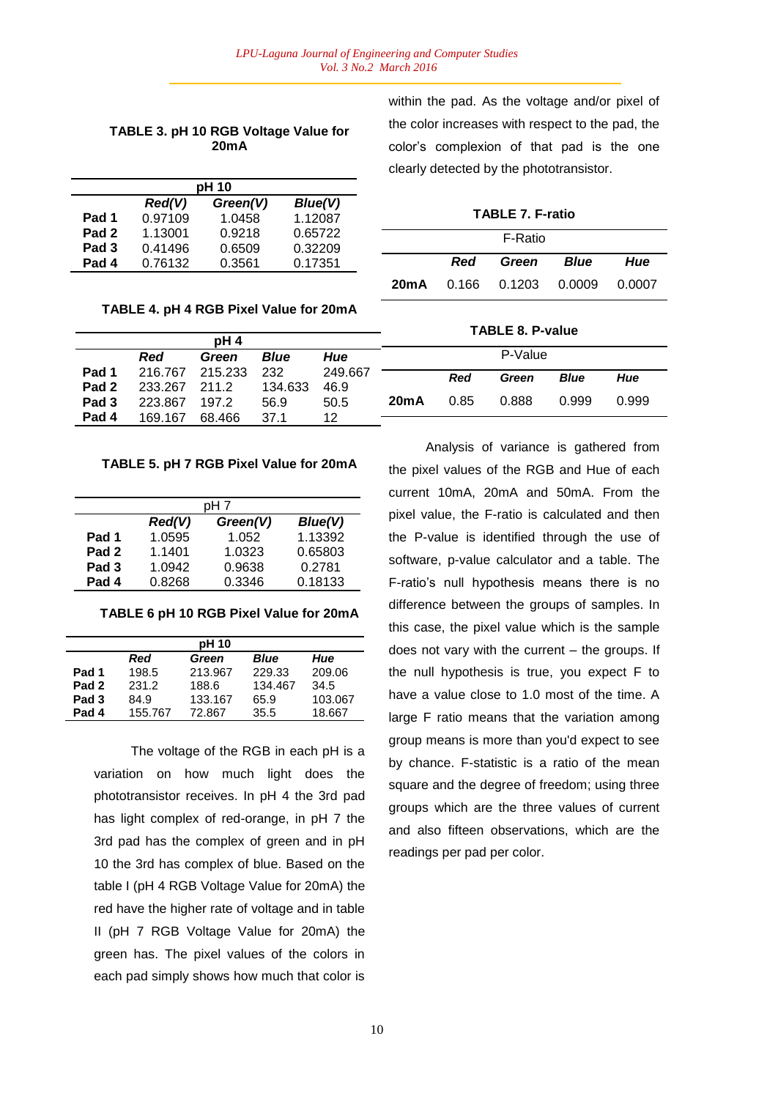# **TABLE 3. pH 10 RGB Voltage Value for 20mA**

| pH 10            |         |          |         |  |  |
|------------------|---------|----------|---------|--|--|
|                  | Red(V)  | Green(V) | Blue(V) |  |  |
| Pad 1            | 0.97109 | 1.0458   | 1.12087 |  |  |
| Pad <sub>2</sub> | 1.13001 | 0.9218   | 0.65722 |  |  |
| Pad <sub>3</sub> | 0.41496 | 0.6509   | 0.32209 |  |  |
| Pad 4            | 0.76132 | 0.3561   | 0.17351 |  |  |

### **TABLE 4. pH 4 RGB Pixel Value for 20mA**

|                  |            |                 |         |         | <b>TABLE 8. P-value</b> |            |         |             |       |
|------------------|------------|-----------------|---------|---------|-------------------------|------------|---------|-------------|-------|
|                  |            | pH <sub>4</sub> |         |         |                         |            |         |             |       |
|                  | <b>Red</b> | Green           | Blue    | Hue     |                         |            | P-Value |             |       |
| Pad 1            | 216.767    | 215.233         | 232     | 249.667 |                         | <b>Red</b> | Green   | <b>Blue</b> | Hue   |
| Pad <sub>2</sub> | 233.267    | 211.2           | 134.633 | 46.9    |                         |            |         |             |       |
| Pad 3            | 223.867    | 197.2           | 56.9    | 50.5    | 20mA                    | 0.85       | 0.888   | 0.999       | 0.999 |
| Pad 4            | 169.167    | 68.466          | 37.1    | 12      |                         |            |         |             |       |

### **TABLE 5. pH 7 RGB Pixel Value for 20mA**

| pH 7             |        |          |         |  |
|------------------|--------|----------|---------|--|
|                  | Red(V) | Green(V) | Blue(V) |  |
| Pad 1            | 1.0595 | 1.052    | 1.13392 |  |
| Pad <sub>2</sub> | 1.1401 | 1.0323   | 0.65803 |  |
| Pad <sub>3</sub> | 1.0942 | 0.9638   | 0.2781  |  |
| Pad 4            | 0.8268 | 0.3346   | 0.18133 |  |

**TABLE 6 pH 10 RGB Pixel Value for 20mA**

|                  |         | pH 10   |             |         |
|------------------|---------|---------|-------------|---------|
|                  | Red     | Green   | <b>Blue</b> | Hue     |
| Pad 1            | 198.5   | 213.967 | 229.33      | 209.06  |
| Pad <sub>2</sub> | 231.2   | 188.6   | 134.467     | 34.5    |
| Pad <sub>3</sub> | 84.9    | 133.167 | 65.9        | 103.067 |
| Pad 4            | 155.767 | 72.867  | 35.5        | 18.667  |

The voltage of the RGB in each pH is a variation on how much light does the phototransistor receives. In pH 4 the 3rd pad has light complex of red-orange, in pH 7 the 3rd pad has the complex of green and in pH 10 the 3rd has complex of blue. Based on the table I (pH 4 RGB Voltage Value for 20mA) the red have the higher rate of voltage and in table II (pH 7 RGB Voltage Value for 20mA) the green has. The pixel values of the colors in each pad simply shows how much that color is

within the pad. As the voltage and/or pixel of the color increases with respect to the pad, the color's complexion of that pad is the one clearly detected by the phototransistor.

**TABLE 7. F-ratio**

|  | F-Ratio                                |     |
|--|----------------------------------------|-----|
|  | Red Green Blue                         | Hue |
|  | <b>20mA</b> 0.166 0.1203 0.0009 0.0007 |     |

| Analysis of variance is gathered from           |
|-------------------------------------------------|
| the pixel values of the RGB and Hue of each     |
| current 10mA, 20mA and 50mA. From the           |
| pixel value, the F-ratio is calculated and then |
| the P-value is identified through the use of    |
| software, p-value calculator and a table. The   |
| F-ratio's null hypothesis means there is no     |
| difference between the groups of samples. In    |
| this case, the pixel value which is the sample  |
| does not vary with the current - the groups. If |
| the null hypothesis is true, you expect F to    |
| have a value close to 1.0 most of the time. A   |
| large F ratio means that the variation among    |
| group means is more than you'd expect to see    |
| by chance. F-statistic is a ratio of the mean   |
| square and the degree of freedom; using three   |
| groups which are the three values of current    |
| and also fifteen observations, which are the    |
| readings per pad per color.                     |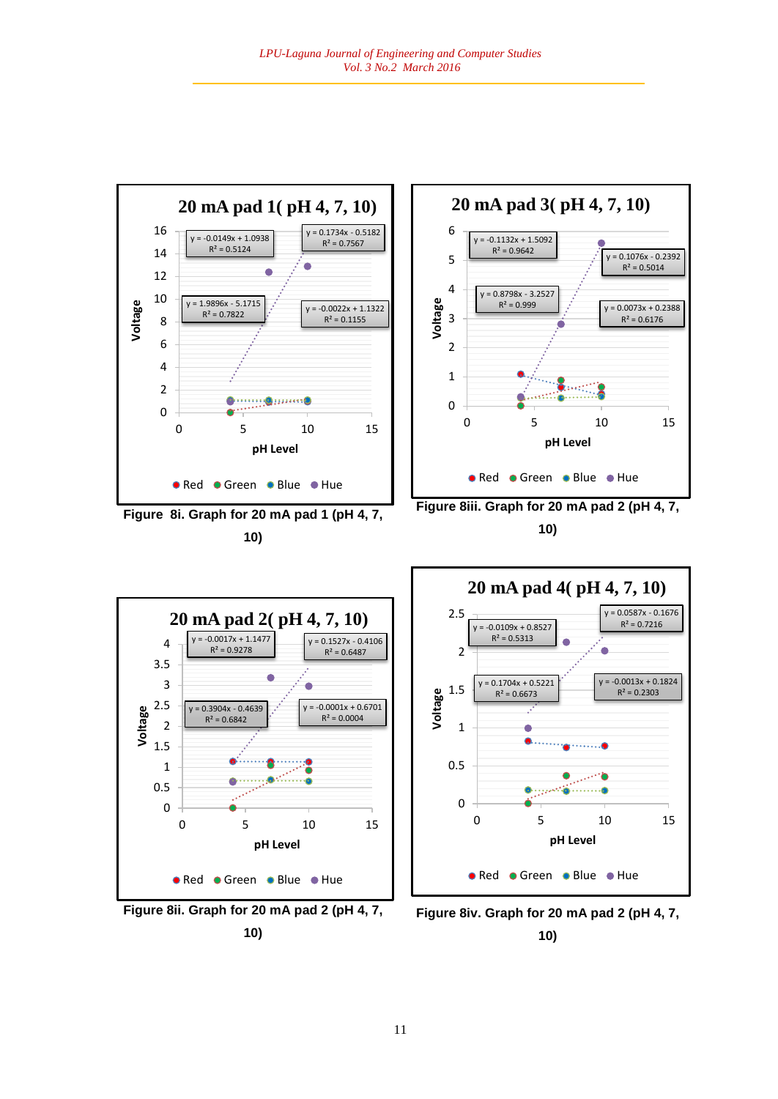



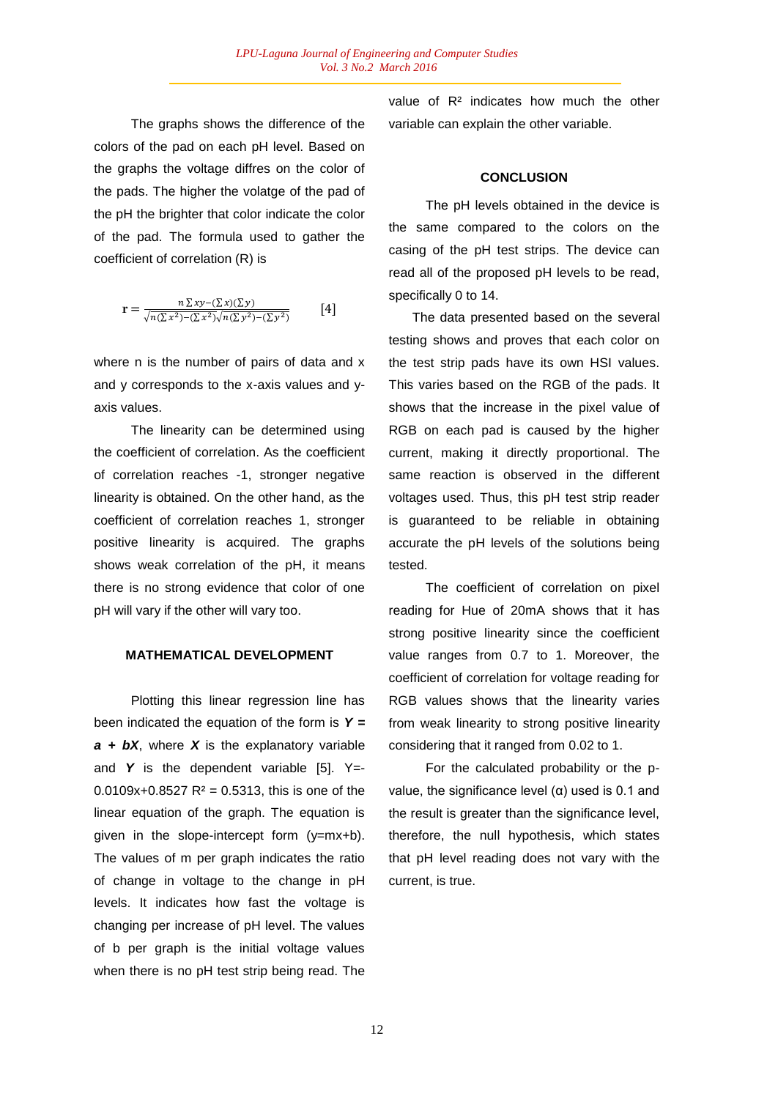The graphs shows the difference of the colors of the pad on each pH level. Based on the graphs the voltage diffres on the color of the pads. The higher the volatge of the pad of the pH the brighter that color indicate the color of the pad. The formula used to gather the coefficient of correlation (R) is

$$
\mathbf{r} = \frac{n \sum xy - (\sum x)(\sum y)}{\sqrt{n(\sum x^2) - (\sum x^2)} \sqrt{n(\sum y^2) - (\sum y^2)}} \qquad [4]
$$

where n is the number of pairs of data and x and y corresponds to the x-axis values and yaxis values.

The linearity can be determined using the coefficient of correlation. As the coefficient of correlation reaches -1, stronger negative linearity is obtained. On the other hand, as the coefficient of correlation reaches 1, stronger positive linearity is acquired. The graphs shows weak correlation of the pH, it means there is no strong evidence that color of one pH will vary if the other will vary too.

# **MATHEMATICAL DEVELOPMENT**

Plotting this linear regression line has been indicated the equation of the form is *Y = a + bX*, where *X* is the explanatory variable and **Y** is the dependent variable [5]. Y=-0.0109x+0.8527  $R^2$  = 0.5313, this is one of the linear equation of the graph. The equation is given in the slope-intercept form (y=mx+b). The values of m per graph indicates the ratio of change in voltage to the change in pH levels. It indicates how fast the voltage is changing per increase of pH level. The values of b per graph is the initial voltage values when there is no pH test strip being read. The

value of R² indicates how much the other variable can explain the other variable.

#### **CONCLUSION**

The pH levels obtained in the device is the same compared to the colors on the casing of the pH test strips. The device can read all of the proposed pH levels to be read, specifically 0 to 14.

The data presented based on the several testing shows and proves that each color on the test strip pads have its own HSI values. This varies based on the RGB of the pads. It shows that the increase in the pixel value of RGB on each pad is caused by the higher current, making it directly proportional. The same reaction is observed in the different voltages used. Thus, this pH test strip reader is guaranteed to be reliable in obtaining accurate the pH levels of the solutions being tested.

The coefficient of correlation on pixel reading for Hue of 20mA shows that it has strong positive linearity since the coefficient value ranges from 0.7 to 1. Moreover, the coefficient of correlation for voltage reading for RGB values shows that the linearity varies from weak linearity to strong positive linearity considering that it ranged from 0.02 to 1.

For the calculated probability or the pvalue, the significance level  $(α)$  used is 0.1 and the result is greater than the significance level, therefore, the null hypothesis, which states that pH level reading does not vary with the current, is true.